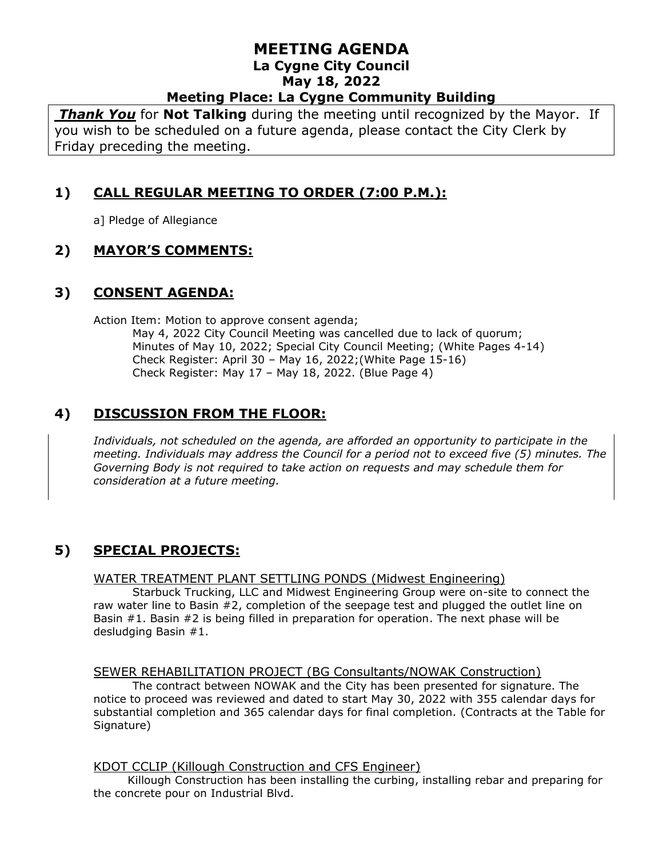# **MEETING AGENDA La Cygne City Council May 18, 2022**

**Meeting Place: La Cygne Community Building**

*Thank You* for **Not Talking** during the meeting until recognized by the Mayor. If you wish to be scheduled on a future agenda, please contact the City Clerk by Friday preceding the meeting.

# **1) CALL REGULAR MEETING TO ORDER (7:00 P.M.):**

a] Pledge of Allegiance

# **2) MAYOR'S COMMENTS:**

# **3) CONSENT AGENDA:**

Action Item: Motion to approve consent agenda; May 4, 2022 City Council Meeting was cancelled due to lack of quorum; Minutes of May 10, 2022; Special City Council Meeting; (White Pages 4-14) Check Register: April 30 – May 16, 2022;(White Page 15-16) Check Register: May 17 – May 18, 2022. (Blue Page 4)

# **4) DISCUSSION FROM THE FLOOR:**

*Individuals, not scheduled on the agenda, are afforded an opportunity to participate in the meeting. Individuals may address the Council for a period not to exceed five (5) minutes. The Governing Body is not required to take action on requests and may schedule them for consideration at a future meeting.* 

# **5) SPECIAL PROJECTS:**

#### WATER TREATMENT PLANT SETTLING PONDS (Midwest Engineering)

Starbuck Trucking, LLC and Midwest Engineering Group were on-site to connect the raw water line to Basin #2, completion of the seepage test and plugged the outlet line on Basin #1. Basin #2 is being filled in preparation for operation. The next phase will be desludging Basin #1.

#### SEWER REHABILITATION PROJECT (BG Consultants/NOWAK Construction)

The contract between NOWAK and the City has been presented for signature. The notice to proceed was reviewed and dated to start May 30, 2022 with 355 calendar days for substantial completion and 365 calendar days for final completion. (Contracts at the Table for Signature)

#### KDOT CCLIP (Killough Construction and CFS Engineer)

Killough Construction has been installing the curbing, installing rebar and preparing for the concrete pour on Industrial Blvd.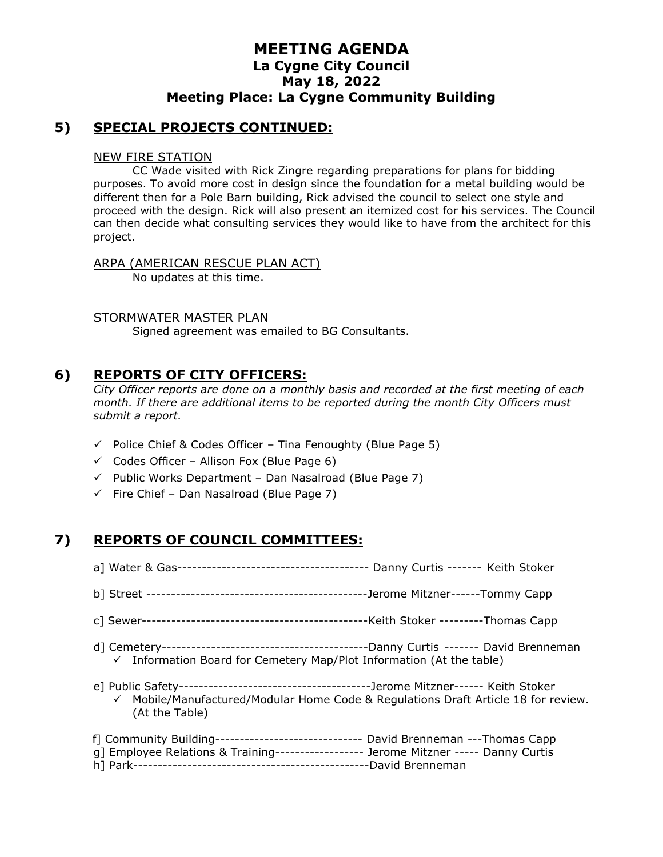### **MEETING AGENDA La Cygne City Council May 18, 2022 Meeting Place: La Cygne Community Building**

### **5) SPECIAL PROJECTS CONTINUED:**

#### NEW FIRE STATION

CC Wade visited with Rick Zingre regarding preparations for plans for bidding purposes. To avoid more cost in design since the foundation for a metal building would be different then for a Pole Barn building, Rick advised the council to select one style and proceed with the design. Rick will also present an itemized cost for his services. The Council can then decide what consulting services they would like to have from the architect for this project.

#### ARPA (AMERICAN RESCUE PLAN ACT)

No updates at this time.

#### STORMWATER MASTER PLAN

Signed agreement was emailed to BG Consultants.

### **6) REPORTS OF CITY OFFICERS:**

*City Officer reports are done on a monthly basis and recorded at the first meeting of each month. If there are additional items to be reported during the month City Officers must submit a report.*

- $\checkmark$  Police Chief & Codes Officer Tina Fenoughty (Blue Page 5)
- $\checkmark$  Codes Officer Allison Fox (Blue Page 6)
- $\checkmark$  Public Works Department Dan Nasalroad (Blue Page 7)
- $\checkmark$  Fire Chief Dan Nasalroad (Blue Page 7)

### **7) REPORTS OF COUNCIL COMMITTEES:**

- a] Water & Gas--------------------------------------- Danny Curtis ------- Keith Stoker
- b] Street ---------------------------------------------Jerome Mitzner------Tommy Capp
- c] Sewer----------------------------------------------Keith Stoker ---------Thomas Capp
- d] Cemetery------------------------------------------Danny Curtis ------- David Brenneman ✓ Information Board for Cemetery Map/Plot Information (At the table)
- e] Public Safety---------------------------------------Jerome Mitzner------ Keith Stoker  $\checkmark$  Mobile/Manufactured/Modular Home Code & Regulations Draft Article 18 for review. (At the Table)

| f] Community Building------------------------------- David Brenneman ---Thomas Capp  |
|--------------------------------------------------------------------------------------|
|                                                                                      |
| g] Employee Relations & Training------------------ Jerome Mitzner ----- Danny Curtis |
|                                                                                      |
|                                                                                      |